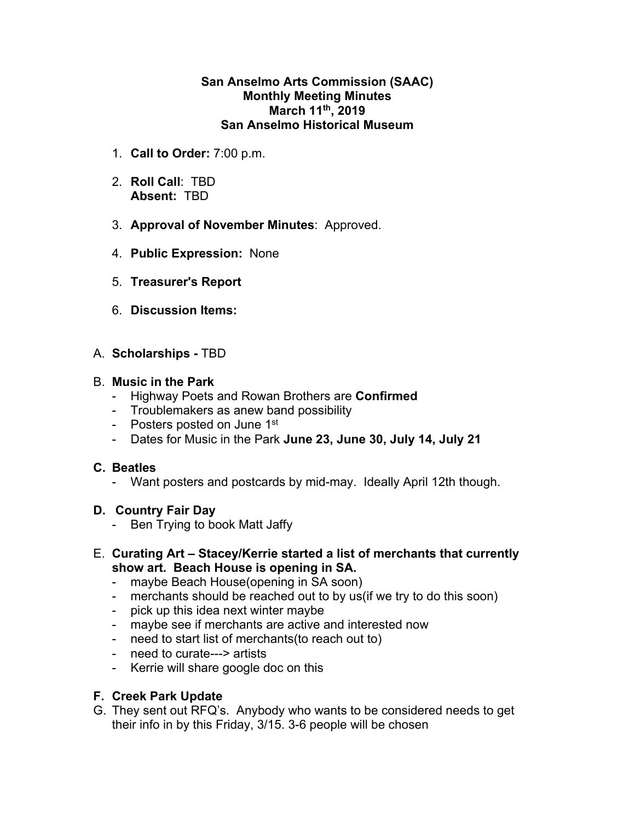#### **San Anselmo Arts Commission (SAAC) Monthly Meeting Minutes March 11th, 2019 San Anselmo Historical Museum**

- 1. **Call to Order:** 7:00 p.m.
- 2. **Roll Call**: TBD **Absent:** TBD
- 3. **Approval of November Minutes**: Approved.
- 4. **Public Expression:** None
- 5. **Treasurer's Report**
- 6. **Discussion Items:**
- A. **Scholarships** TBD

## B. **Music in the Park**

- Highway Poets and Rowan Brothers are **Confirmed**
- Troublemakers as anew band possibility
- Posters posted on June 1st
- Dates for Music in the Park **June 23, June 30, July 14, July 21**

## **C. Beatles**

- Want posters and postcards by mid-may. Ideally April 12th though.

## **D. Country Fair Day**

- Ben Trying to book Matt Jaffy
- E. **Curating Art Stacey/Kerrie started a list of merchants that currently show art. Beach House is opening in SA.**
	- maybe Beach House(opening in SA soon)
	- merchants should be reached out to by us (if we try to do this soon)
	- pick up this idea next winter maybe
	- maybe see if merchants are active and interested now
	- need to start list of merchants(to reach out to)
	- need to curate---> artists
	- Kerrie will share google doc on this

# **F. Creek Park Update**

G. They sent out RFQ's. Anybody who wants to be considered needs to get their info in by this Friday, 3/15. 3-6 people will be chosen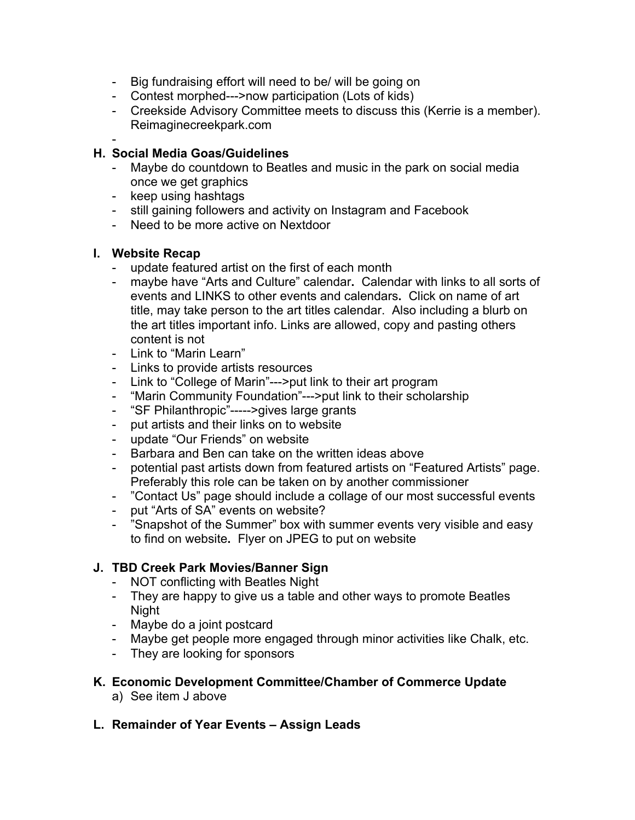- Big fundraising effort will need to be/ will be going on
- Contest morphed--->now participation (Lots of kids)
- Creekside Advisory Committee meets to discuss this (Kerrie is a member). Reimaginecreekpark.com

#### - **H. Social Media Goas/Guidelines**

- Maybe do countdown to Beatles and music in the park on social media once we get graphics
- keep using hashtags
- still gaining followers and activity on Instagram and Facebook
- Need to be more active on Nextdoor

## **I. Website Recap**

- update featured artist on the first of each month
- maybe have "Arts and Culture" calendar**.** Calendar with links to all sorts of events and LINKS to other events and calendars**.** Click on name of art title, may take person to the art titles calendar. Also including a blurb on the art titles important info. Links are allowed, copy and pasting others content is not
- Link to "Marin Learn"
- Links to provide artists resources
- Link to "College of Marin"--->put link to their art program
- "Marin Community Foundation"--->put link to their scholarship
- "SF Philanthropic"----->gives large grants
- put artists and their links on to website
- update "Our Friends" on website
- Barbara and Ben can take on the written ideas above
- potential past artists down from featured artists on "Featured Artists" page. Preferably this role can be taken on by another commissioner
- "Contact Us" page should include a collage of our most successful events
- put "Arts of SA" events on website?
- "Snapshot of the Summer" box with summer events very visible and easy to find on website**.** Flyer on JPEG to put on website

# **J. TBD Creek Park Movies/Banner Sign**

- NOT conflicting with Beatles Night
- They are happy to give us a table and other ways to promote Beatles Night
- Maybe do a joint postcard
- Maybe get people more engaged through minor activities like Chalk, etc.
- They are looking for sponsors

# **K. Economic Development Committee/Chamber of Commerce Update**

- a) See item J above
- **L. Remainder of Year Events Assign Leads**